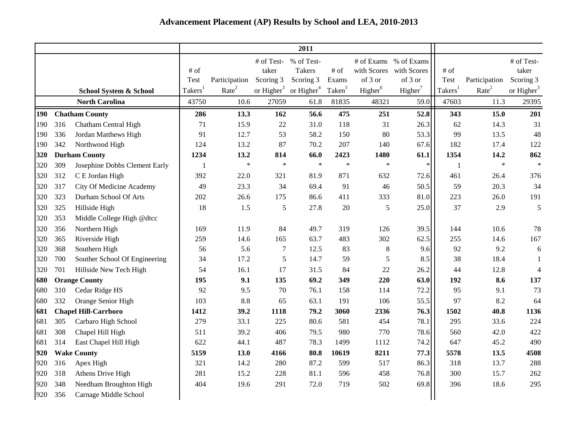|                        |     |                               |                                     |                                    |                                                  | 2011                                                               |                                       |                                                             |                                                             |                                     |                                    |                                                   |
|------------------------|-----|-------------------------------|-------------------------------------|------------------------------------|--------------------------------------------------|--------------------------------------------------------------------|---------------------------------------|-------------------------------------------------------------|-------------------------------------------------------------|-------------------------------------|------------------------------------|---------------------------------------------------|
| School System & School |     |                               | # of<br>Test<br>Takers <sup>1</sup> | Participation<br>Rate <sup>2</sup> | # of Test-<br>taker<br>Scoring 3<br>or $Higher3$ | % of Test-<br><b>Takers</b><br>Scoring 3<br>or Higher <sup>4</sup> | $#$ of<br>Exams<br>Taken <sup>5</sup> | # of Exams<br>with Scores<br>of 3 or<br>Higher <sup>6</sup> | % of Exams<br>with Scores<br>of 3 or<br>Higher <sup>7</sup> | # of<br>Test<br>Takers <sup>1</sup> | Participation<br>Rate <sup>2</sup> | # of Test-<br>taker<br>Scoring 3<br>or Higher $3$ |
|                        |     | <b>North Carolina</b>         | 43750                               | 10.6                               | 27059                                            | 61.8                                                               | 81835                                 | 48321                                                       | 59.0                                                        | 47603                               | 11.3                               | 29395                                             |
| 190                    |     | <b>Chatham County</b>         | 286                                 | 13.3                               | 162                                              | 56.6                                                               | 475                                   | 251                                                         | 52.8                                                        | 343<br>15.0                         |                                    | 201                                               |
| 190                    | 316 | <b>Chatham Central High</b>   | 71                                  | 15.9                               | 22                                               | 31.0                                                               | 118                                   | 31                                                          | 26.3                                                        | 62                                  | 14.3                               | 31                                                |
| 190                    | 336 | Jordan Matthews High          | 91                                  | 12.7                               | 53                                               | 58.2                                                               | 150                                   | 80                                                          | 53.3                                                        | 99                                  | 13.5                               | 48                                                |
| 190                    | 342 | Northwood High                | 124                                 | 13.2                               | 87                                               | 70.2                                                               | 207                                   | 140                                                         | 67.6                                                        | 182                                 | 17.4                               | 122                                               |
| 320                    |     | <b>Durham County</b>          | 1234                                | 13.2                               | 814                                              | 66.0                                                               | 2423                                  | 1480                                                        | 61.1                                                        | 1354                                | 14.2                               | 862                                               |
| 320                    | 309 | Josephine Dobbs Clement Early | $\mathbf{1}$                        | $\ast$                             | $\ast$                                           | $\ast$                                                             | $\ast$                                | $\ast$                                                      | $*$                                                         | $\mathbf{1}$                        | $\ast$                             | $\ast$                                            |
| 320                    | 312 | C E Jordan High               | 392                                 | 22.0                               | 321                                              | 81.9                                                               | 871                                   | 632                                                         | 72.6                                                        | 461                                 | 26.4                               | 376                                               |
| 320                    | 317 | City Of Medicine Academy      | 49                                  | 23.3                               | 34                                               | 69.4                                                               | 91                                    | 46                                                          | 50.5                                                        | 59                                  | 20.3                               | 34                                                |
| 320                    | 323 | Durham School Of Arts         | 202                                 | 26.6                               | 175                                              | 86.6                                                               | 411                                   | 333                                                         | 81.0                                                        | 223                                 | 26.0                               | 191                                               |
| 320                    | 325 | Hillside High                 | 18                                  | 1.5                                | 5                                                | 27.8                                                               | 20                                    | 5                                                           | 25.0                                                        | 37                                  | 2.9                                | 5                                                 |
| 320                    | 353 | Middle College High @dtcc     |                                     |                                    |                                                  |                                                                    |                                       |                                                             |                                                             |                                     |                                    |                                                   |
| 320                    | 356 | Northern High                 | 169                                 | 11.9                               | 84                                               | 49.7                                                               | 319                                   | 126                                                         | 39.5                                                        | 144                                 | 10.6                               | 78                                                |
| 320                    | 365 | Riverside High                | 259                                 | 14.6                               | 165                                              | 63.7                                                               | 483                                   | 302                                                         | 62.5                                                        | 255                                 | 14.6                               | 167                                               |
| 320                    | 368 | Southern High                 | 56                                  | 5.6                                | 7                                                | 12.5                                                               | 83                                    | 8                                                           | 9.6                                                         | 92                                  | 9.2                                | 6                                                 |
| 320                    | 700 | Souther School Of Engineering | 34                                  | 17.2                               | 5                                                | 14.7                                                               | 59                                    | 5                                                           | 8.5                                                         | 38                                  | 18.4                               | 1                                                 |
| 320                    | 701 | Hillside New Tech High        | 54                                  | 16.1                               | 17                                               | 31.5                                                               | 84                                    | 22                                                          | 26.2                                                        | 44                                  | 12.8                               | $\overline{4}$                                    |
| 680                    |     | <b>Orange County</b>          | 195                                 | 9.1                                | 135                                              | 69.2                                                               | 349                                   | 220                                                         | 63.0                                                        | 192                                 | 8.6                                | 137                                               |
| 680                    | 310 | Cedar Ridge HS                | 92                                  | 9.5                                | 70                                               | 76.1                                                               | 158                                   | 114                                                         | 72.2                                                        | 95                                  | 9.1                                | 73                                                |
| 680                    | 332 | Orange Senior High            | 103                                 | 8.8                                | 65                                               | 63.1                                                               | 191                                   | 106                                                         | 55.5                                                        | 97                                  | 8.2                                | 64                                                |
| 681                    |     | <b>Chapel Hill-Carrboro</b>   | 1412                                | 39.2                               | 1118                                             | 79.2                                                               | 3060                                  | 2336                                                        | 76.3                                                        | 1502                                | 40.8                               | 1136                                              |
| 681                    | 305 | Carbaro High School           | 279                                 | 33.1                               | 225                                              | 80.6                                                               | 581                                   | 454                                                         | 78.1                                                        | 295                                 | 33.6                               | 224                                               |
| 681                    | 308 | Chapel Hill High              | 511                                 | 39.2                               | 406                                              | 79.5                                                               | 980                                   | 770                                                         | 78.6                                                        | 560                                 | 42.0                               | 422                                               |
| 681                    | 314 | East Chapel Hill High         | 622                                 | 44.1                               | 487                                              | 78.3                                                               | 1499                                  | 1112                                                        | 74.2                                                        | 647                                 | 45.2                               | 490                                               |
| 920                    |     | <b>Wake County</b>            | 5159                                | 13.0                               | 4166                                             | 80.8                                                               | 10619                                 | 8211                                                        | 77.3                                                        | 5578                                | 13.5                               | 4508                                              |
| 920                    | 316 | Apex High                     | 321                                 | 14.2                               | 280                                              | 87.2                                                               | 599                                   | 517                                                         | 86.3                                                        | 318                                 | 13.7                               | 288                                               |
| 920                    | 318 | Athens Drive High             | 281                                 | 15.2                               | 228                                              | 81.1                                                               | 596                                   | 458                                                         | 76.8                                                        | 300                                 | 15.7                               | 262                                               |
| 920                    | 348 | Needham Broughton High        | 404                                 | 19.6                               | 291                                              | 72.0                                                               | 719                                   | 502                                                         | 69.8                                                        | 396                                 | 18.6                               | 295                                               |
| 920                    | 356 | Carnage Middle School         |                                     |                                    |                                                  |                                                                    |                                       |                                                             |                                                             |                                     |                                    |                                                   |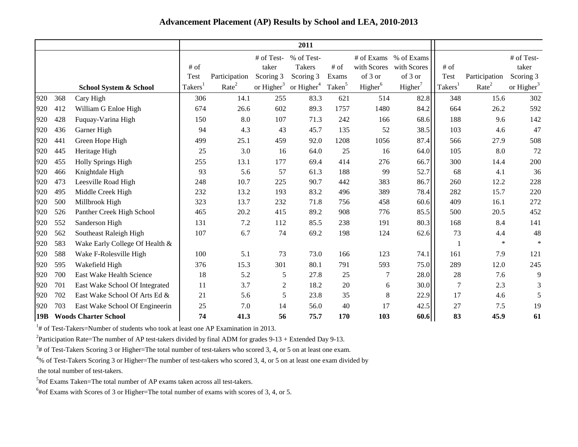| <b>Advancement Placement (AP) Results by School and LEA, 2010-2013</b> |  |  |  |  |  |
|------------------------------------------------------------------------|--|--|--|--|--|
|------------------------------------------------------------------------|--|--|--|--|--|

|     |                             |                                |                     |                   |            | 2011                                          |                    |                     |                     |                     |                   |               |
|-----|-----------------------------|--------------------------------|---------------------|-------------------|------------|-----------------------------------------------|--------------------|---------------------|---------------------|---------------------|-------------------|---------------|
|     |                             |                                |                     |                   | # of Test- | % of Test-                                    |                    | # of Exams          | % of Exams          |                     |                   | # of Test-    |
|     |                             |                                | $#$ of              |                   | taker      | <b>Takers</b>                                 | $#$ of             | with Scores         | with Scores         | $#$ of              |                   | taker         |
|     |                             |                                | Test                | Participation     | Scoring 3  | Scoring 3                                     | Exams              | of 3 or             | of 3 or             | Test                | Participation     | Scoring 3     |
|     |                             | School System & School         | Takers <sup>1</sup> | Rate <sup>2</sup> |            | or Higher <sup>3</sup> or Higher <sup>4</sup> | Taken <sup>5</sup> | Higher <sup>6</sup> | Higher <sup>7</sup> | Takers <sup>1</sup> | Rate <sup>2</sup> | or Higher $3$ |
| 920 | 368                         | Cary High                      | 306                 | 14.1              | 255        | 83.3                                          | 621                | 514                 | 82.8                | 348                 | 15.6              | 302           |
| 920 | 412                         | William G Enloe High           | 674                 | 26.6              | 602        | 89.3                                          | 1757               | 1480                | 84.2                | 664                 | 26.2              | 592           |
| 920 | 428                         | Fuquay-Varina High             | 150                 | 8.0               | 107        | 71.3                                          | 242                | 166                 | 68.6                | 188                 | 9.6               | 142           |
| 920 | 436                         | Garner High                    | 94                  | 4.3               | 43         | 45.7                                          | 135                | 52                  | 38.5                | 103                 | 4.6               | 47            |
| 920 | 441                         | Green Hope High                | 499                 | 25.1              | 459        | 92.0                                          | 1208               | 1056                | 87.4                | 566                 | 27.9              | 508           |
| 920 | 445                         | Heritage High                  | 25                  | 3.0               | 16         | 64.0                                          | 25                 | 16                  | 64.0                | 105                 | 8.0               | 72            |
| 920 | 455                         | <b>Holly Springs High</b>      | 255                 | 13.1              | 177        | 69.4                                          | 414                | 276                 | 66.7                | 300                 | 14.4              | 200           |
| 920 | 466                         | Knightdale High                | 93                  | 5.6               | 57         | 61.3                                          | 188                | 99                  | 52.7                | 68                  | 4.1               | 36            |
| 920 | 473                         | Leesville Road High            | 248                 | 10.7              | 225        | 90.7                                          | 442                | 383                 | 86.7                | 260                 | 12.2              | 228           |
| 920 | 495                         | Middle Creek High              | 232                 | 13.2              | 193        | 83.2                                          | 496                | 389                 | 78.4                | 282                 | 15.7              | 220           |
| 920 | 500                         | Millbrook High                 | 323                 | 13.7              | 232        | 71.8                                          | 756                | 458                 | 60.6                | 409                 | 16.1              | 272           |
| 920 | 526                         | Panther Creek High School      | 465                 | 20.2              | 415        | 89.2                                          | 908                | 776                 | 85.5                | 500                 | 20.5              | 452           |
| 920 | 552                         | Sanderson High                 | 131                 | 7.2               | 112        | 85.5                                          | 238                | 191                 | 80.3                | 168                 | 8.4               | 141           |
| 920 | 562                         | Southeast Raleigh High         | 107                 | 6.7               | 74         | 69.2                                          | 198                | 124                 | 62.6                | 73                  | 4.4               | 48            |
| 920 | 583                         | Wake Early College Of Health & |                     |                   |            |                                               |                    |                     |                     |                     | $\ast$            | $\ast$        |
| 920 | 588                         | Wake F-Rolesville High         | 100                 | 5.1               | 73         | 73.0                                          | 166                | 123                 | 74.1                | 161                 | 7.9               | 121           |
| 920 | 595                         | Wakefield High                 | 376                 | 15.3              | 301        | 80.1                                          | 791                | 593                 | 75.0                | 289                 | 12.0              | 245           |
| 920 | 700                         | East Wake Health Science       | 18                  | 5.2               | 5          | 27.8                                          | 25                 | 7                   | 28.0                | 28                  | 7.6               | 9             |
| 920 | 701                         | East Wake School Of Integrated | 11                  | 3.7               | 2          | 18.2                                          | $20\,$             | 6                   | 30.0                | 7                   | 2.3               | 3             |
| 920 | 702                         | East Wake School Of Arts Ed &  | 21                  | 5.6               | 5          | 23.8                                          | 35                 | 8                   | 22.9                | 17                  | 4.6               | 5             |
| 920 | 703                         | East Wake School Of Engineerin | 25                  | 7.0               | 14         | 56.0                                          | 40                 | 17                  | 42.5                | 27                  | 7.5               | 19            |
| 19B | <b>Woods Charter School</b> |                                |                     | 41.3              | 56         | 75.7                                          | 170                | 103                 | $60.6$              | 83                  | 45.9              | 61            |

<sup>1</sup># of Test-Takers=Number of students who took at least one AP Examination in 2013.

<sup>2</sup> Participation Rate=The number of AP test-takers divided by final ADM for grades  $9-13 +$  Extended Day  $9-13$ .

 $3#$  of Test-Takers Scoring 3 or Higher=The total number of test-takers who scored 3, 4, or 5 on at least one exam.

<sup>4</sup>% of Test-Takers Scoring 3 or Higher=The number of test-takers who scored 3, 4, or 5 on at least one exam divided by

the total number of test-takers.

5 #of Exams Taken=The total number of AP exams taken across all test-takers.

6 #of Exams with Scores of 3 or Higher=The total number of exams with scores of 3, 4, or 5.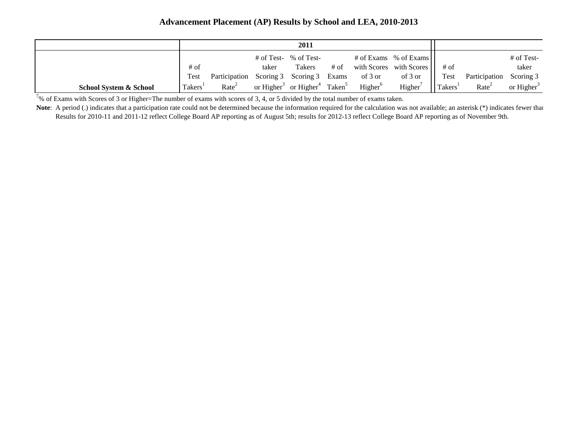## **Advancement Placement (AP) Results by School and LEA, 2010-2013**

|                                   |                     |                                         |       | 2011                                                             |                     |                                            |                             |                         |              |
|-----------------------------------|---------------------|-----------------------------------------|-------|------------------------------------------------------------------|---------------------|--------------------------------------------|-----------------------------|-------------------------|--------------|
|                                   |                     |                                         |       | # of Test- % of Test-                                            |                     | $\#$ of Exams % of Exams                   |                             |                         | # of Test-   |
|                                   | # of                |                                         | taker | Takers                                                           |                     | $\#$ of with Scores with Scores $   \#$ of |                             |                         | taker        |
|                                   | Test                | Participation Scoring 3 Scoring 3 Exams |       |                                                                  | of 3 or             | of 3 or $\parallel$ Test                   |                             | Participation Scoring 3 |              |
| <b>School System &amp; School</b> | Takers <sup>1</sup> | Rate <sup>2</sup>                       |       | or Higher <sup>3</sup> or Higher <sup>4</sup> Taken <sup>5</sup> | Higher <sup>6</sup> | Higher <sup>7</sup>                        | $\prod$ Takers <sup>1</sup> | Rate <sup>2</sup>       | or $Higher3$ |

 $7\%$  of Exams with Scores of 3 or Higher=The number of exams with scores of 3, 4, or 5 divided by the total number of exams taken.

Note: A period (.) indicates that a participation rate could not be determined because the information required for the calculation was not available; an asterisk (\*) indicates fewer than Results for 2010-11 and 2011-12 reflect College Board AP reporting as of August 5th; results for 2012-13 reflect College Board AP reporting as of November 9th.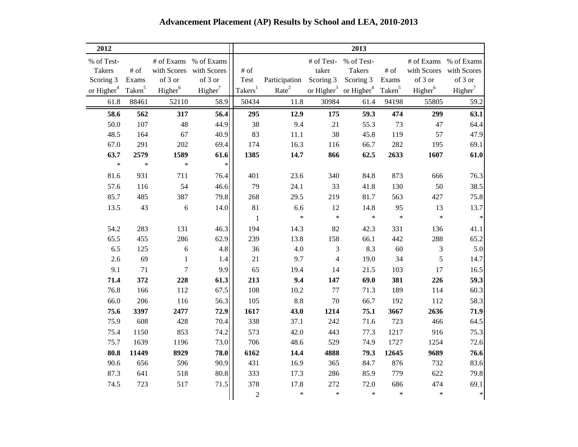| 2012                        |                    |                           |                           |                     |                 |                     | 2013                                          |                    |                     |                                       |
|-----------------------------|--------------------|---------------------------|---------------------------|---------------------|-----------------|---------------------|-----------------------------------------------|--------------------|---------------------|---------------------------------------|
| % of Test-<br><b>Takers</b> | # of               | # of Exams<br>with Scores | % of Exams<br>with Scores | $\#$ of             |                 | # of Test-<br>taker | % of Test-<br><b>Takers</b>                   | $\#$ of            | # of Exams          | % of Exams<br>with Scores with Scores |
| Scoring 3                   | Exams              | of 3 or                   | of 3 or                   | Test                | Participation   | Scoring 3           | Scoring 3                                     | Exams              | of 3 or             | of 3 or                               |
| or Higher <sup>4</sup>      | Taken <sup>5</sup> | Higher <sup>6</sup>       | Higher <sup>7</sup>       | Takers <sup>1</sup> | $\mbox{Rate}^2$ |                     | or Higher <sup>3</sup> or Higher <sup>4</sup> | Taken <sup>5</sup> | Higher <sup>6</sup> | Higher <sup>7</sup>                   |
| 61.8                        | 88461              | 52110                     | 58.9                      | 50434               | 11.8            | 30984               | 61.4                                          | 94198              | 55805               | 59.2                                  |
| 58.6                        | 562                | 317                       | 56.4                      | 295                 | 12.9            | 175                 | 59.3                                          | 474                | 299                 | 63.1                                  |
| 50.0                        | 107                | 48                        | 44.9                      | $38\,$              | 9.4             | 21                  | 55.3                                          | 73                 | 47                  | 64.4                                  |
| 48.5                        | 164                | 67                        | 40.9                      | 83                  | $11.1\,$        | 38                  | 45.8                                          | 119                | 57                  | 47.9                                  |
| 67.0                        | 291                | 202                       | 69.4                      | 174                 | 16.3            | 116                 | 66.7                                          | 282                | 195                 | 69.1                                  |
| 63.7                        | 2579               | 1589                      | 61.6                      | 1385                | 14.7            | 866                 | 62.5                                          | 2633               | 1607                | 61.0                                  |
| $\ast$                      | $\ast$             | $\ast$                    | $\ast$                    |                     |                 |                     |                                               |                    |                     |                                       |
| 81.6                        | 931                | 711                       | 76.4                      | 401                 | 23.6            | 340                 | 84.8                                          | 873                | 666                 | 76.3                                  |
| 57.6                        | 116                | 54                        | 46.6                      | 79                  | 24.1            | 33                  | 41.8                                          | 130                | 50                  | 38.5                                  |
| 85.7                        | 485                | 387                       | 79.8                      | 268                 | 29.5            | 219                 | 81.7                                          | 563                | 427                 | 75.8                                  |
| 13.5                        | 43                 | 6                         | 14.0                      | 81                  | 6.6             | 12                  | 14.8                                          | 95                 | 13                  | 13.7                                  |
|                             |                    |                           |                           | $\mathbf{1}$        | $\ast$          | $\ast$              | $\ast$                                        | $\ast$             | $\ast$              | $\ast$                                |
| 54.2                        | 283                | 131                       | 46.3                      | 194                 | 14.3            | 82                  | 42.3                                          | 331                | 136                 | 41.1                                  |
| 65.5                        | 455                | 286                       | 62.9                      | 239                 | 13.8            | 158                 | 66.1                                          | 442                | 288                 | 65.2                                  |
| 6.5                         | 125                | $\sqrt{6}$                | 4.8                       | 36                  | 4.0             | $\mathfrak{Z}$      | 8.3                                           | 60                 | 3                   | 5.0                                   |
| 2.6                         | 69                 | $\mathbf{1}$              | 1.4                       | $21\,$              | 9.7             | $\overline{4}$      | 19.0                                          | 34                 | 5                   | 14.7                                  |
| 9.1                         | 71                 | $\tau$                    | 9.9                       | 65                  | 19.4            | 14                  | 21.5                                          | 103                | $17\,$              | 16.5                                  |
| 71.4                        | 372                | 228                       | 61.3                      | 213                 | 9.4             | 147                 | 69.0                                          | 381                | 226                 | 59.3                                  |
| 76.8                        | 166                | 112                       | 67.5                      | 108                 | 10.2            | 77                  | 71.3                                          | 189                | 114                 | 60.3                                  |
| 66.0                        | 206                | 116                       | 56.3                      | 105                 | 8.8             | $70\,$              | 66.7                                          | 192                | 112                 | 58.3                                  |
| 75.6                        | 3397               | 2477                      | 72.9                      | 1617                | 43.0            | 1214                | 75.1                                          | 3667               | 2636                | 71.9                                  |
| 75.9                        | 608                | 428                       | 70.4                      | 338                 | 37.1            | 242                 | 71.6                                          | 723                | 466                 | 64.5                                  |
| 75.4                        | 1150               | 853                       | 74.2                      | 573                 | 42.0            | 443                 | 77.3                                          | 1217               | 916                 | 75.3                                  |
| 75.7                        | 1639               | 1196                      | 73.0                      | 706                 | 48.6            | 529                 | 74.9                                          | 1727               | 1254                | 72.6                                  |
| 80.8                        | 11449              | 8929                      | 78.0                      | 6162                | 14.4            | 4888                | 79.3                                          | 12645              | 9689                | 76.6                                  |
| 90.6                        | 656                | 596                       | 90.9                      | 431                 | 16.9            | 365                 | 84.7                                          | 876                | 732                 | 83.6                                  |
| 87.3                        | 641                | 518                       | 80.8                      | 333                 | 17.3            | 286                 | 85.9                                          | 779                | 622                 | 79.8                                  |
| 74.5                        | 723                | 517                       | 71.5                      | 378                 | 17.8            | 272                 | 72.0                                          | 686                | 474                 | 69.1                                  |
|                             |                    |                           |                           | $\boldsymbol{2}$    | $\ast$          | $\ast$              | $\ast$                                        | $\ast$             | $\ast$              | $\ast$                                |

## **Advancement Placement (AP) Results by School and LEA, 2010-2013**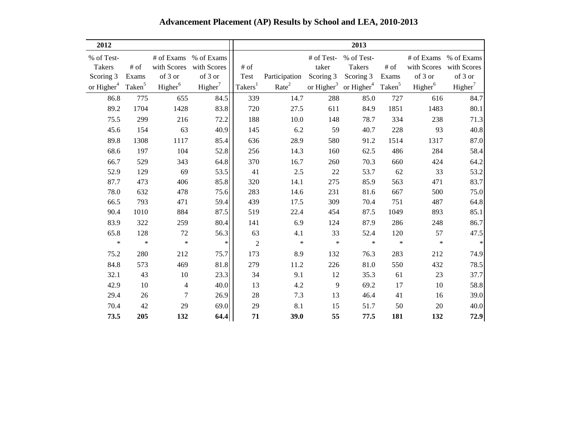| 2012          |                    |                     |                     |                     |                   |            | 2013                                                             |        |                     |                     |
|---------------|--------------------|---------------------|---------------------|---------------------|-------------------|------------|------------------------------------------------------------------|--------|---------------------|---------------------|
| % of Test-    |                    | # of Exams          | % of Exams          |                     |                   | # of Test- | % of Test-                                                       |        | # of Exams          | % of Exams          |
| <b>Takers</b> | $\#$ of            | with Scores         | with Scores         | # of                |                   | taker      | <b>Takers</b>                                                    | # of   | with Scores         | with Scores         |
| Scoring 3     | Exams              | of 3 or             | of 3 or             | Test                | Participation     | Scoring 3  | Scoring 3                                                        | Exams  | of 3 or             | of 3 or             |
| or $Higher4$  | Taken <sup>5</sup> | Higher <sup>6</sup> | Higher <sup>7</sup> | Takers <sup>1</sup> | Rate <sup>2</sup> |            | or Higher <sup>3</sup> or Higher <sup>4</sup> Taken <sup>5</sup> |        | Higher <sup>6</sup> | Higher <sup>7</sup> |
| 86.8          | 775                | 655                 | 84.5                | 339                 | 14.7              | 288        | 85.0                                                             | 727    | 616                 | 84.7                |
| 89.2          | 1704               | 1428                | 83.8                | 720                 | 27.5              | 611        | 84.9                                                             | 1851   | 1483                | 80.1                |
| 75.5          | 299                | 216                 | 72.2                | 188                 | 10.0              | 148        | 78.7                                                             | 334    | 238                 | 71.3                |
| 45.6          | 154                | 63                  | 40.9                | 145                 | 6.2               | 59         | 40.7                                                             | 228    | 93                  | 40.8                |
| 89.8          | 1308               | 1117                | 85.4                | 636                 | 28.9              | 580        | 91.2                                                             | 1514   | 1317                | 87.0                |
| 68.6          | 197                | 104                 | 52.8                | 256                 | 14.3              | 160        | 62.5                                                             | 486    | 284                 | 58.4                |
| 66.7          | 529                | 343                 | 64.8                | 370                 | 16.7              | 260        | 70.3                                                             | 660    | 424                 | 64.2                |
| 52.9          | 129                | 69                  | 53.5                | 41                  | 2.5               | 22         | 53.7                                                             | 62     | 33                  | 53.2                |
| 87.7          | 473                | 406                 | 85.8                | 320                 | 14.1              | 275        | 85.9                                                             | 563    | 471                 | 83.7                |
| 78.0          | 632                | 478                 | 75.6                | 283                 | 14.6              | 231        | 81.6                                                             | 667    | 500                 | 75.0                |
| 66.5          | 793                | 471                 | 59.4                | 439                 | 17.5              | 309        | 70.4                                                             | 751    | 487                 | 64.8                |
| 90.4          | 1010               | 884                 | 87.5                | 519                 | 22.4              | 454        | 87.5                                                             | 1049   | 893                 | 85.1                |
| 83.9          | 322                | 259                 | 80.4                | 141                 | 6.9               | 124        | 87.9                                                             | 286    | 248                 | 86.7                |
| 65.8          | 128                | $72\,$              | 56.3                | 63                  | 4.1               | 33         | 52.4                                                             | 120    | 57                  | 47.5                |
| $\ast$        | $\ast$             | $\ast$              | $\ast$              | $\overline{2}$      | $\ast$            | $\ast$     | $\ast$                                                           | $\ast$ | $\ast$              | $\ast$              |
| 75.2          | 280                | 212                 | 75.7                | 173                 | 8.9               | 132        | 76.3                                                             | 283    | 212                 | 74.9                |
| 84.8          | 573                | 469                 | 81.8                | 279                 | 11.2              | 226        | 81.0                                                             | 550    | 432                 | 78.5                |
| 32.1          | 43                 | $10\,$              | 23.3                | 34                  | 9.1               | 12         | 35.3                                                             | 61     | 23                  | 37.7                |
| 42.9          | 10                 | 4                   | 40.0                | 13                  | 4.2               | 9          | 69.2                                                             | 17     | 10                  | 58.8                |
| 29.4          | 26                 | $\tau$              | 26.9                | 28                  | 7.3               | 13         | 46.4                                                             | 41     | 16                  | 39.0                |
| 70.4          | 42                 | 29                  | 69.0                | 29                  | $8.1\,$           | 15         | 51.7                                                             | 50     | 20                  | 40.0                |
| 73.5          | 205                | 132                 | 64.4                | 71                  | 39.0              | 55         | 77.5                                                             | 181    | 132                 | 72.9                |

**Advancement Placement (AP) Results by School and LEA, 2010-2013**